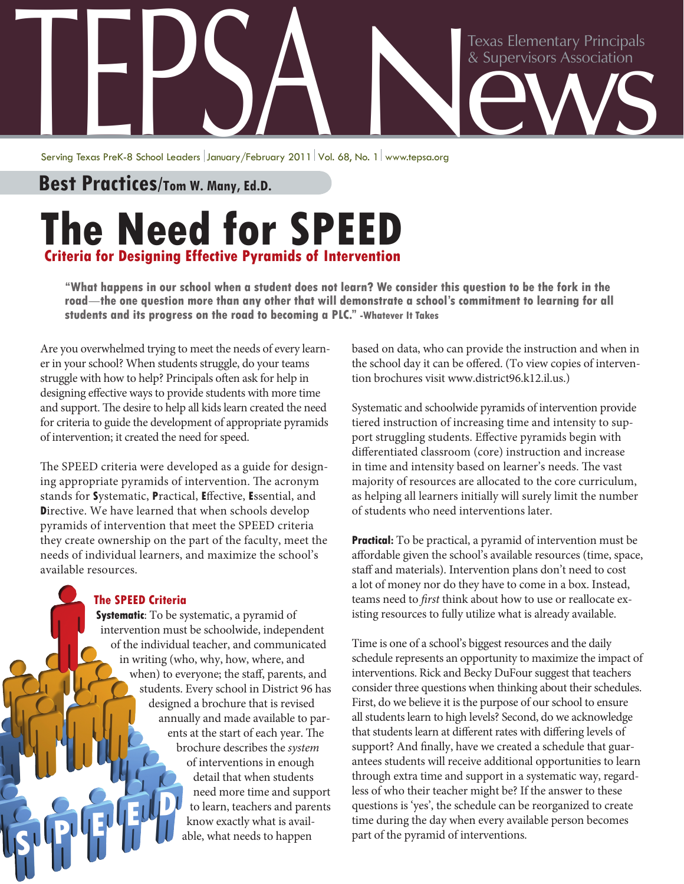## Texas Elementary Principals<br>& Supervisors Association Texas Elementary Principals<br>& Supervisors Association<br>Serving Texas Prek-8 School Leaders January/February 2011 Vol. 68, No. 1 www.tepsa.org

Serving Texas PreK-8 School Leaders January/February 2011 Vol. 68, No. 1 www.tepsa.org

**Best Practices/Tom W. Many, Ed.D.** 

## **The Need for SPEED Criteria for Designing Effective Pyramids of Intervention**

**"What happens in our school when a student does not learn? We consider this question to be the fork in the road**—**the one question more than any other that will demonstrate a school's commitment to learning for all students and its progress on the road to becoming a PLC." -Whatever It Takes**

Are you overwhelmed trying to meet the needs of every learner in your school? When students struggle, do your teams struggle with how to help? Principals often ask for help in designing effective ways to provide students with more time and support. The desire to help all kids learn created the need for criteria to guide the development of appropriate pyramids of intervention; it created the need for speed.

The SPEED criteria were developed as a guide for designing appropriate pyramids of intervention. The acronym stands for **S**ystematic, **P**ractical, **E**ffective, **E**ssential, and **D**irective. We have learned that when schools develop pyramids of intervention that meet the SPEED criteria they create ownership on the part of the faculty, meet the needs of individual learners, and maximize the school's available resources.

## **The SPEED Criteria**

**Systematic**: To be systematic, a pyramid of intervention must be schoolwide, independent of the individual teacher, and communicated in writing (who, why, how, where, and when) to everyone; the staff, parents, and students. Every school in District 96 has designed a brochure that is revised annually and made available to parents at the start of each year. The brochure describes the *system* of interventions in enough detail that when students need more time and support to learn, teachers and parents know exactly what is available, what needs to happen  $\frac{1}{2}$   $\frac{1}{2}$   $\frac{1}{2}$   $\frac{1}{2}$   $\frac{1}{2}$ 

based on data, who can provide the instruction and when in the school day it can be offered. (To view copies of intervention brochures visit www.district96.k12.il.us.)

Systematic and schoolwide pyramids of intervention provide tiered instruction of increasing time and intensity to support struggling students. Effective pyramids begin with differentiated classroom (core) instruction and increase in time and intensity based on learner's needs. The vast majority of resources are allocated to the core curriculum, as helping all learners initially will surely limit the number of students who need interventions later.

**Practical:** To be practical, a pyramid of intervention must be affordable given the school's available resources (time, space, staff and materials). Intervention plans don't need to cost a lot of money nor do they have to come in a box. Instead, teams need to *first* think about how to use or reallocate existing resources to fully utilize what is already available.

Time is one of a school's biggest resources and the daily schedule represents an opportunity to maximize the impact of interventions. Rick and Becky DuFour suggest that teachers consider three questions when thinking about their schedules. First, do we believe it is the purpose of our school to ensure all students learn to high levels? Second, do we acknowledge that students learn at different rates with differing levels of support? And finally, have we created a schedule that guarantees students will receive additional opportunities to learn through extra time and support in a systematic way, regardless of who their teacher might be? If the answer to these questions is 'yes', the schedule can be reorganized to create time during the day when every available person becomes part of the pyramid of interventions.